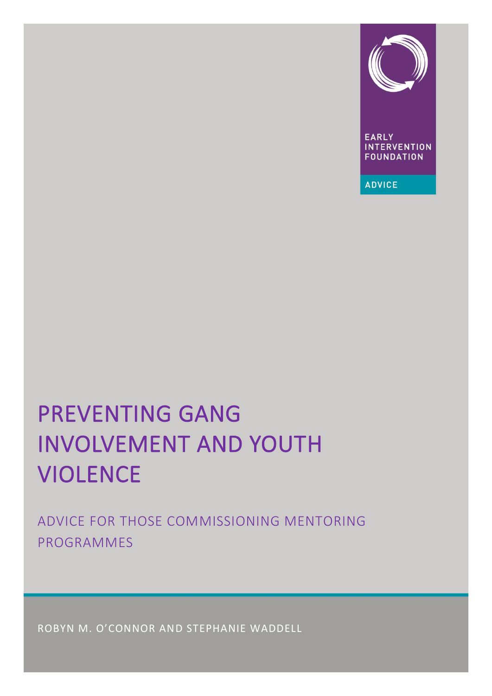

**FOUNDATION** 

**ADVICE** 

# PREVENTING GANG INVOLVEMENT AND YOUTH VIOLENCE

ADVICE FOR THOSE COMMISSIONING MENTORING PROGRAMMES

ROBYN M. O'CONNOR AND STEPHANIE WADDELL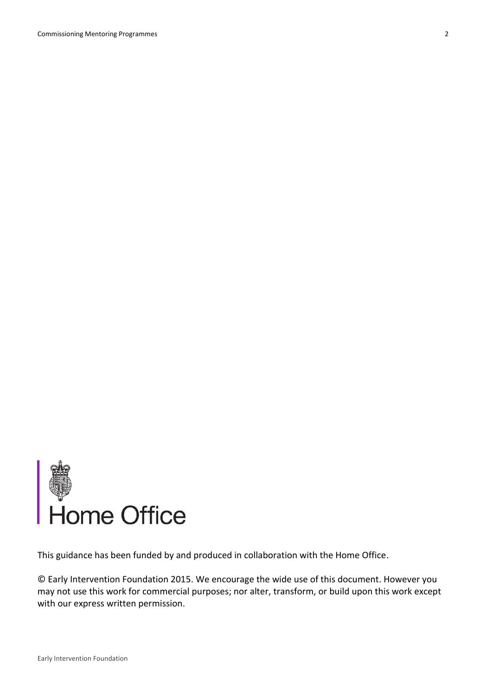

© Early Intervention Foundation 2015. We encourage the wide use of this document. However you may not use this work for commercial purposes; nor alter, transform, or build upon this work except with our express written permission.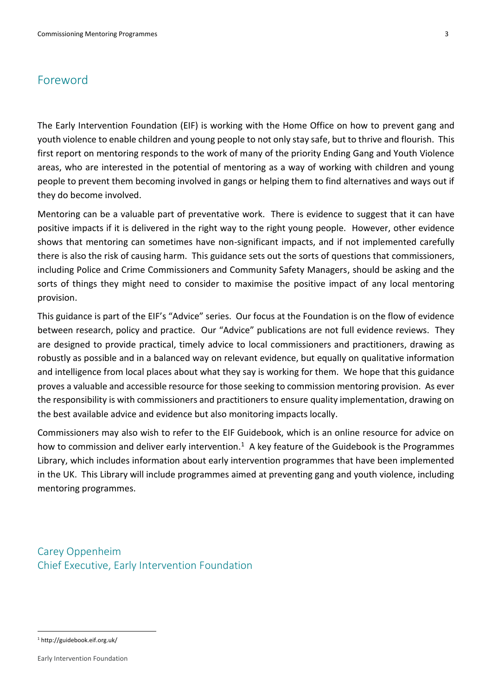## Foreword

The Early Intervention Foundation (EIF) is working with the Home Office on how to prevent gang and youth violence to enable children and young people to not only stay safe, but to thrive and flourish. This first report on mentoring responds to the work of many of the priority Ending Gang and Youth Violence areas, who are interested in the potential of mentoring as a way of working with children and young people to prevent them becoming involved in gangs or helping them to find alternatives and ways out if they do become involved.

Mentoring can be a valuable part of preventative work. There is evidence to suggest that it can have positive impacts if it is delivered in the right way to the right young people. However, other evidence shows that mentoring can sometimes have non-significant impacts, and if not implemented carefully there is also the risk of causing harm. This guidance sets out the sorts of questions that commissioners, including Police and Crime Commissioners and Community Safety Managers, should be asking and the sorts of things they might need to consider to maximise the positive impact of any local mentoring provision.

This guidance is part of the EIF's "Advice" series. Our focus at the Foundation is on the flow of evidence between research, policy and practice. Our "Advice" publications are not full evidence reviews. They are designed to provide practical, timely advice to local commissioners and practitioners, drawing as robustly as possible and in a balanced way on relevant evidence, but equally on qualitative information and intelligence from local places about what they say is working for them. We hope that this guidance proves a valuable and accessible resource for those seeking to commission mentoring provision. As ever the responsibility is with commissioners and practitioners to ensure quality implementation, drawing on the best available advice and evidence but also monitoring impacts locally.

Commissioners may also wish to refer to the EIF Guidebook, which is an online resource for advice on how to commission and deliver early intervention.<sup>1</sup> A key feature of the Guidebook is the Programmes Library, which includes information about early intervention programmes that have been implemented in the UK. This Library will include programmes aimed at preventing gang and youth violence, including mentoring programmes.

Carey Oppenheim Chief Executive, Early Intervention Foundation

<sup>1</sup> <http://guidebook.eif.org.uk/>

Early Intervention Foundation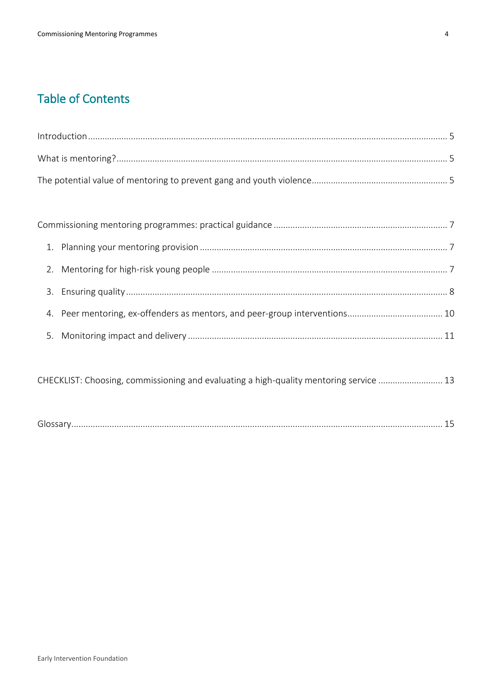# **Table of Contents**

CHECKLIST: Choosing, commissioning and evaluating a high-quality mentoring service ......................... 13

|--|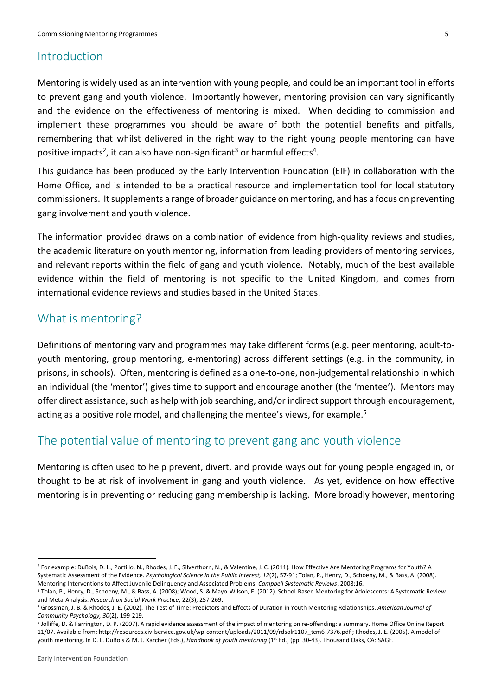## **Introduction**

Mentoring is widely used as an intervention with young people, and could be an important tool in efforts to prevent gang and youth violence. Importantly however, mentoring provision can vary significantly and the evidence on the effectiveness of mentoring is mixed. When deciding to commission and implement these programmes you should be aware of both the potential benefits and pitfalls, remembering that whilst delivered in the right way to the right young people mentoring can have positive impacts<sup>2</sup>, it can also have non-significant<sup>3</sup> or harmful effects<sup>4</sup>.

This guidance has been produced by the Early Intervention Foundation (EIF) in collaboration with the Home Office, and is intended to be a practical resource and implementation tool for local statutory commissioners. It supplements a range of broader guidance on mentoring, and has a focus on preventing gang involvement and youth violence.

The information provided draws on a combination of evidence from high-quality reviews and studies, the academic literature on youth mentoring, information from leading providers of mentoring services, and relevant reports within the field of gang and youth violence. Notably, much of the best available evidence within the field of mentoring is not specific to the United Kingdom, and comes from international evidence reviews and studies based in the United States.

## What is mentoring?

Definitions of mentoring vary and programmes may take different forms (e.g. peer mentoring, adult-toyouth mentoring, group mentoring, e-mentoring) across different settings (e.g. in the community, in prisons, in schools). Often, mentoring is defined as a one-to-one, non-judgemental relationship in which an individual (the 'mentor') gives time to support and encourage another (the 'mentee'). Mentors may offer direct assistance, such as help with job searching, and/or indirect support through encouragement, acting as a positive role model, and challenging the mentee's views, for example.<sup>5</sup>

## The potential value of mentoring to prevent gang and youth violence

Mentoring is often used to help prevent, divert, and provide ways out for young people engaged in, or thought to be at risk of involvement in gang and youth violence. As yet, evidence on how effective mentoring is in preventing or reducing gang membership is lacking. More broadly however, mentoring

<sup>&</sup>lt;sup>2</sup> For example: DuBois, D. L., Portillo, N., Rhodes, J. E., Silverthorn, N., & Valentine, J. C. (2011). How Effective Are Mentoring Programs for Youth? A Systematic Assessment of the Evidence. *Psychological Science in the Public Interest, 12*(2), 57-91; Tolan, P., Henry, D., Schoeny, M., & Bass, A. (2008). Mentoring Interventions to Affect Juvenile Delinquency and Associated Problems. *Campbell Systematic Reviews*, 2008:16.

<sup>3</sup> Tolan, P., Henry, D., Schoeny, M., & Bass, A. (2008); Wood, S. & Mayo-Wilson, E. (2012). School-Based Mentoring for Adolescents: A Systematic Review and Meta-Analysis. *Research on Social Work Practice*, 22(3), 257-269.

<sup>4</sup> Grossman, J. B. & Rhodes, J. E. (2002). The Test of Time: Predictors and Effects of Duration in Youth Mentoring Relationships. *American Journal of Community Psychology, 30*(2), 199-219.

<sup>5</sup> Jolliffe, D. & Farrington, D. P. (2007). A rapid evidence assessment of the impact of mentoring on re-offending: a summary. Home Office Online Report 11/07. Available from: http://resources.civilservice.gov.uk/wp-content/uploads/2011/09/rdsolr1107\_tcm6-7376.pdf ; Rhodes, J. E. (2005). A model of youth mentoring. In D. L. DuBois & M. J. Karcher (Eds.), *Handbook of youth mentoring* (1<sup>st</sup> Ed.) (pp. 30-43). Thousand Oaks, CA: SAGE.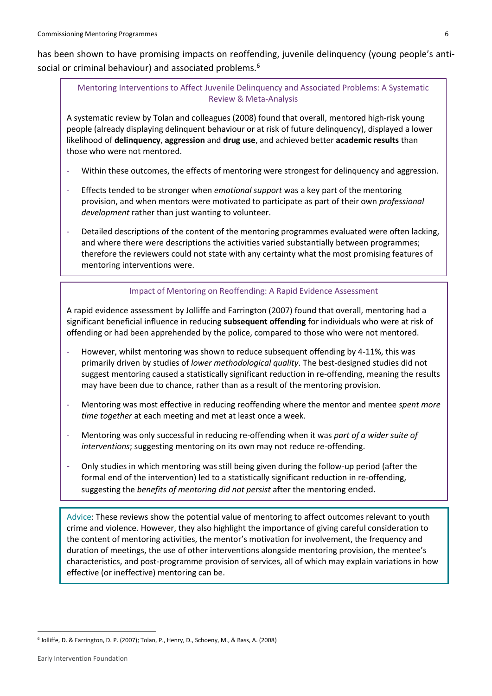has been shown to have promising impacts on reoffending, juvenile delinquency (young people's antisocial or criminal behaviour) and associated problems.<sup>6</sup>

Mentoring Interventions to Affect Juvenile Delinquency and Associated Problems: A Systematic Review & Meta-Analysis

A systematic review by Tolan and colleagues (2008) found that overall, mentored high-risk young people (already displaying delinquent behaviour or at risk of future delinquency), displayed a lower likelihood of **delinquency**, **aggression** and **drug use**, and achieved better **academic results** than those who were not mentored.

- Within these outcomes, the effects of mentoring were strongest for delinquency and aggression.
- Effects tended to be stronger when *emotional support* was a key part of the mentoring provision, and when mentors were motivated to participate as part of their own *professional development* rather than just wanting to volunteer.
- Detailed descriptions of the content of the mentoring programmes evaluated were often lacking, and where there were descriptions the activities varied substantially between programmes; therefore the reviewers could not state with any certainty what the most promising features of mentoring interventions were.

#### Impact of Mentoring on Reoffending: A Rapid Evidence Assessment

A rapid evidence assessment by Jolliffe and Farrington (2007) found that overall, mentoring had a significant beneficial influence in reducing **subsequent offending** for individuals who were at risk of offending or had been apprehended by the police, compared to those who were not mentored.

- However, whilst mentoring was shown to reduce subsequent offending by 4-11%, this was primarily driven by studies of *lower methodological quality*. The best-designed studies did not suggest mentoring caused a statistically significant reduction in re-offending, meaning the results may have been due to chance, rather than as a result of the mentoring provision.
- Mentoring was most effective in reducing reoffending where the mentor and mentee *spent more time together* at each meeting and met at least once a week.
- Mentoring was only successful in reducing re-offending when it was *part of a wider suite of interventions*; suggesting mentoring on its own may not reduce re-offending.
- Only studies in which mentoring was still being given during the follow-up period (after the formal end of the intervention) led to a statistically significant reduction in re-offending, suggesting the *benefits of mentoring did not persist* after the mentoring ended.

Advice: These reviews show the potential value of mentoring to affect outcomes relevant to youth crime and violence. However, they also highlight the importance of giving careful consideration to the content of mentoring activities, the mentor's motivation for involvement, the frequency and duration of meetings, the use of other interventions alongside mentoring provision, the mentee's characteristics, and post-programme provision of services, all of which may explain variations in how effective (or ineffective) mentoring can be.

<sup>6</sup> Jolliffe, D. & Farrington, D. P. (2007); Tolan, P., Henry, D., Schoeny, M., & Bass, A. (2008)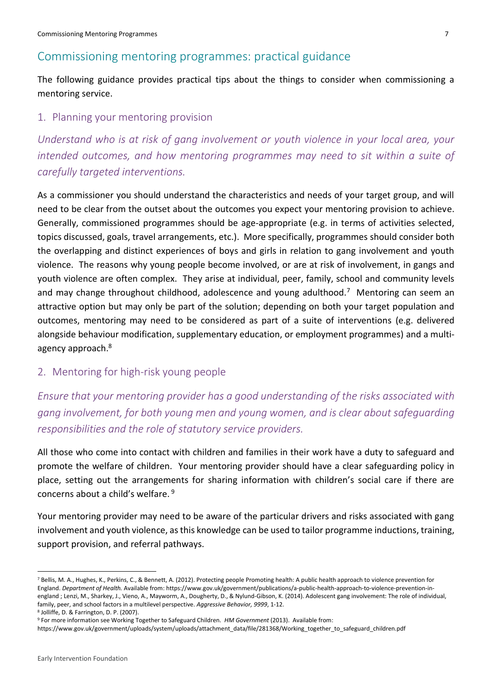## Commissioning mentoring programmes: practical guidance

The following guidance provides practical tips about the things to consider when commissioning a mentoring service.

### 1. Planning your mentoring provision

## *Understand who is at risk of gang involvement or youth violence in your local area, your intended outcomes, and how mentoring programmes may need to sit within a suite of carefully targeted interventions.*

As a commissioner you should understand the characteristics and needs of your target group, and will need to be clear from the outset about the outcomes you expect your mentoring provision to achieve. Generally, commissioned programmes should be age-appropriate (e.g. in terms of activities selected, topics discussed, goals, travel arrangements, etc.). More specifically, programmes should consider both the overlapping and distinct experiences of boys and girls in relation to gang involvement and youth violence. The reasons why young people become involved, or are at risk of involvement, in gangs and youth violence are often complex. They arise at individual, peer, family, school and community levels and may change throughout childhood, adolescence and young adulthood.<sup>7</sup> Mentoring can seem an attractive option but may only be part of the solution; depending on both your target population and outcomes, mentoring may need to be considered as part of a suite of interventions (e.g. delivered alongside behaviour modification, supplementary education, or employment programmes) and a multiagency approach. 8

## 2. Mentoring for high-risk young people

*Ensure that your mentoring provider has a good understanding of the risks associated with gang involvement, for both young men and young women, and is clear about safeguarding responsibilities and the role of statutory service providers.* 

All those who come into contact with children and families in their work have a duty to safeguard and promote the welfare of children. Your mentoring provider should have a clear safeguarding policy in place, setting out the arrangements for sharing information with children's social care if there are concerns about a child's welfare. <sup>9</sup>

Your mentoring provider may need to be aware of the particular drivers and risks associated with gang involvement and youth violence, as this knowledge can be used to tailor programme inductions, training, support provision, and referral pathways.

<sup>&</sup>lt;sup>7</sup> Bellis, M. A., Hughes, K., Perkins, C., & Bennett, A. (2012). Protecting people Promoting health: A public health approach to violence prevention for England. *Department of Health.* Available from[: https://www.gov.uk/government/publications/a-public-health-approach-to-violence-prevention-in](https://www.gov.uk/government/publications/a-public-health-approach-to-violence-prevention-in-england)[england](https://www.gov.uk/government/publications/a-public-health-approach-to-violence-prevention-in-england) ; Lenzi, M., Sharkey, J., Vieno, A., Mayworm, A., Dougherty, D., & Nylund-Gibson, K. (2014). Adolescent gang involvement: The role of individual, family, peer, and school factors in a multilevel perspective. *Aggressive Behavior, 9999*, 1-12.

<sup>8</sup> Jolliffe, D. & Farrington, D. P. (2007).

<sup>9</sup> For more information see Working Together to Safeguard Children. *HM Government* (2013). Available from:

[https://www.gov.uk/government/uploads/system/uploads/attachment\\_data/file/281368/Working\\_together\\_to\\_safeguard\\_children.pdf](https://www.gov.uk/government/uploads/system/uploads/attachment_data/file/281368/Working_together_to_safeguard_children.pdf)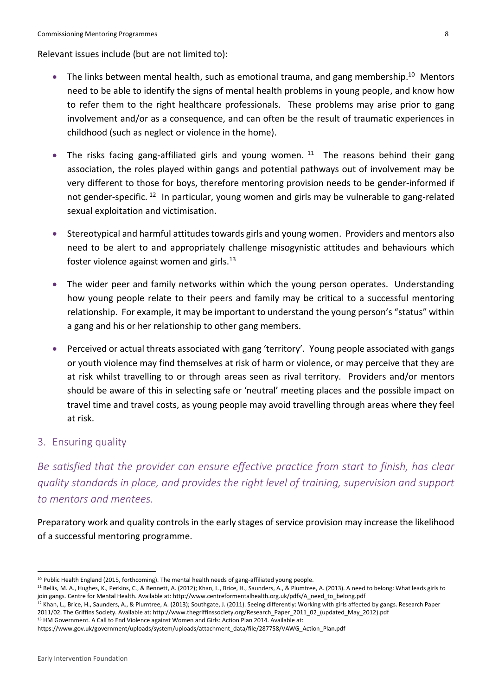Relevant issues include (but are not limited to):

- The links between mental health, such as emotional trauma, and gang membership.<sup>10</sup> Mentors need to be able to identify the signs of mental health problems in young people, and know how to refer them to the right healthcare professionals. These problems may arise prior to gang involvement and/or as a consequence, and can often be the result of traumatic experiences in childhood (such as neglect or violence in the home).
- The risks facing gang-affiliated girls and young women.  $11$  The reasons behind their gang association, the roles played within gangs and potential pathways out of involvement may be very different to those for boys, therefore mentoring provision needs to be gender-informed if not gender-specific.<sup>12</sup> In particular, young women and girls may be vulnerable to gang-related sexual exploitation and victimisation.
- Stereotypical and harmful attitudes towards girls and young women. Providers and mentors also need to be alert to and appropriately challenge misogynistic attitudes and behaviours which foster violence against women and girls. $^{13}$
- The wider peer and family networks within which the young person operates. Understanding how young people relate to their peers and family may be critical to a successful mentoring relationship. For example, it may be important to understand the young person's "status" within a gang and his or her relationship to other gang members.
- Perceived or actual threats associated with gang 'territory'. Young people associated with gangs or youth violence may find themselves at risk of harm or violence, or may perceive that they are at risk whilst travelling to or through areas seen as rival territory. Providers and/or mentors should be aware of this in selecting safe or 'neutral' meeting places and the possible impact on travel time and travel costs, as young people may avoid travelling through areas where they feel at risk.

### 3. Ensuring quality

*Be satisfied that the provider can ensure effective practice from start to finish, has clear quality standards in place, and provides the right level of training, supervision and support to mentors and mentees.* 

Preparatory work and quality controls in the early stages of service provision may increase the likelihood of a successful mentoring programme.

<sup>&</sup>lt;sup>10</sup> Public Health England (2015, forthcoming). The mental health needs of gang-affiliated young people.

<sup>11</sup> Bellis, M. A., Hughes, K., Perkins, C., & Bennett, A. (2012); Khan, L., Brice, H., Saunders, A., & Plumtree, A. (2013). A need to belong: What leads girls to join gangs. Centre for Mental Health. Available at: http://www.centreformentalhealth.org.uk/pdfs/A need to belong.pdf

<sup>&</sup>lt;sup>12</sup> Khan, L., Brice, H., Saunders, A., & Plumtree, A. (2013); Southgate, J. (2011). Seeing differently: Working with girls affected by gangs. Research Paper 2011/02. The Griffins Society. Available at[: http://www.thegriffinssociety.org/Research\\_Paper\\_2011\\_02\\_\(updated\\_May\\_2012\).pdf](http://www.thegriffinssociety.org/Research_Paper_2011_02_(updated_May_2012).pdf)

<sup>13</sup> HM Government. A Call to End Violence against Women and Girls: Action Plan 2014. Available at:

[https://www.gov.uk/government/uploads/system/uploads/attachment\\_data/file/287758/VAWG\\_Action\\_Plan.pdf](https://www.gov.uk/government/uploads/system/uploads/attachment_data/file/287758/VAWG_Action_Plan.pdf)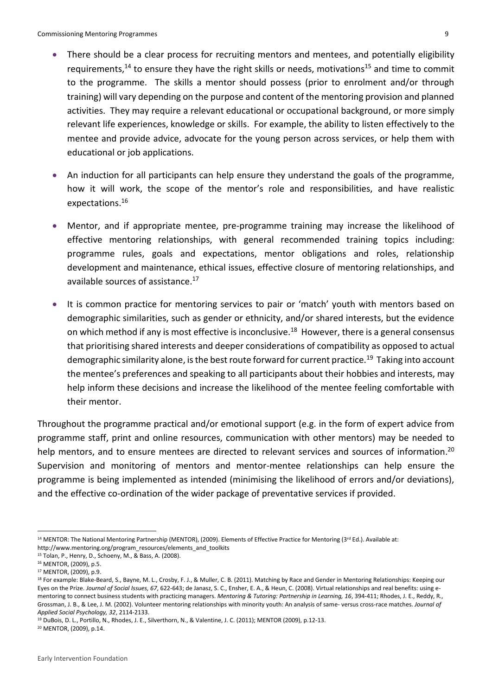- There should be a clear process for recruiting mentors and mentees, and potentially eligibility requirements,<sup>14</sup> to ensure they have the right skills or needs, motivations<sup>15</sup> and time to commit to the programme. The skills a mentor should possess (prior to enrolment and/or through training) will vary depending on the purpose and content of the mentoring provision and planned activities. They may require a relevant educational or occupational background, or more simply relevant life experiences, knowledge or skills. For example, the ability to listen effectively to the mentee and provide advice, advocate for the young person across services, or help them with educational or job applications.
- An induction for all participants can help ensure they understand the goals of the programme, how it will work, the scope of the mentor's role and responsibilities, and have realistic expectations.<sup>16</sup>
- Mentor, and if appropriate mentee, pre-programme training may increase the likelihood of effective mentoring relationships, with general recommended training topics including: programme rules, goals and expectations, mentor obligations and roles, relationship development and maintenance, ethical issues, effective closure of mentoring relationships, and available sources of assistance.<sup>17</sup>
- It is common practice for mentoring services to pair or 'match' youth with mentors based on demographic similarities, such as gender or ethnicity, and/or shared interests, but the evidence on which method if any is most effective is inconclusive.<sup>18</sup> However, there is a general consensus that prioritising shared interests and deeper considerations of compatibility as opposed to actual demographic similarity alone, is the best route forward for current practice.<sup>19</sup> Taking into account the mentee's preferences and speaking to all participants about their hobbies and interests, may help inform these decisions and increase the likelihood of the mentee feeling comfortable with their mentor.

Throughout the programme practical and/or emotional support (e.g. in the form of expert advice from programme staff, print and online resources, communication with other mentors) may be needed to help mentors, and to ensure mentees are directed to relevant services and sources of information.<sup>20</sup> Supervision and monitoring of mentors and mentor-mentee relationships can help ensure the programme is being implemented as intended (minimising the likelihood of errors and/or deviations), and the effective co-ordination of the wider package of preventative services if provided.

1

<sup>20</sup> MENTOR, (2009), p.14.

<sup>14</sup> MENTOR: The National Mentoring Partnership (MENTOR), (2009). Elements of Effective Practice for Mentoring (3rd Ed.). Available at: [http://www.mentoring.org/program\\_resources/elements\\_and\\_toolkits](http://www.mentoring.org/program_resources/elements_and_toolkits)

<sup>15</sup> Tolan, P., Henry, D., Schoeny, M., & Bass, A. (2008).

<sup>16</sup> MENTOR, (2009), p.5.

<sup>17</sup> MENTOR, (2009), p.9.

<sup>18</sup> For example: Blake-Beard, S., Bayne, M. L., Crosby, F. J., & Muller, C. B. (2011). Matching by Race and Gender in Mentoring Relationships: Keeping our Eyes on the Prize. *Journal of Social Issues, 67*, 622-643; de Janasz, S. C., Ensher, E. A., & Heun, C. (2008). Virtual relationships and real benefits: using ementoring to connect business students with practicing managers. *Mentoring & Tutoring: Partnership in Learning, 16*, 394-411; Rhodes, J. E., Reddy, R., Grossman, J. B., & Lee, J. M. (2002). Volunteer mentoring relationships with minority youth: An analysis of same- versus cross-race matches. *Journal of Applied Social Psychology, 32*, 2114-2133.

<sup>&</sup>lt;sup>19</sup> DuBois, D. L., Portillo, N., Rhodes, J. E., Silverthorn, N., & Valentine, J. C. (2011); MENTOR (2009), p.12-13.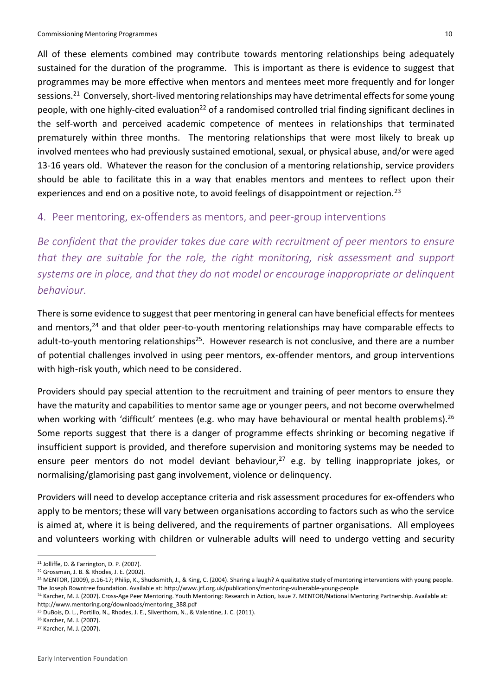All of these elements combined may contribute towards mentoring relationships being adequately sustained for the duration of the programme. This is important as there is evidence to suggest that programmes may be more effective when mentors and mentees meet more frequently and for longer sessions.<sup>21</sup> Conversely, short-lived mentoring relationships may have detrimental effects for some young people, with one highly-cited evaluation<sup>22</sup> of a randomised controlled trial finding significant declines in the self-worth and perceived academic competence of mentees in relationships that terminated prematurely within three months. The mentoring relationships that were most likely to break up involved mentees who had previously sustained emotional, sexual, or physical abuse, and/or were aged 13-16 years old. Whatever the reason for the conclusion of a mentoring relationship, service providers should be able to facilitate this in a way that enables mentors and mentees to reflect upon their experiences and end on a positive note, to avoid feelings of disappointment or rejection.<sup>23</sup>

#### 4. Peer mentoring, ex-offenders as mentors, and peer-group interventions

*Be confident that the provider takes due care with recruitment of peer mentors to ensure that they are suitable for the role, the right monitoring, risk assessment and support systems are in place, and that they do not model or encourage inappropriate or delinquent behaviour.* 

There is some evidence to suggest that peer mentoring in general can have beneficial effects for mentees and mentors,<sup>24</sup> and that older peer-to-youth mentoring relationships may have comparable effects to adult-to-youth mentoring relationships<sup>25</sup>. However research is not conclusive, and there are a number of potential challenges involved in using peer mentors, ex-offender mentors, and group interventions with high-risk youth, which need to be considered.

Providers should pay special attention to the recruitment and training of peer mentors to ensure they have the maturity and capabilities to mentor same age or younger peers, and not become overwhelmed when working with 'difficult' mentees (e.g. who may have behavioural or mental health problems).<sup>26</sup> Some reports suggest that there is a danger of programme effects shrinking or becoming negative if insufficient support is provided, and therefore supervision and monitoring systems may be needed to ensure peer mentors do not model deviant behaviour,<sup>27</sup> e.g. by telling inappropriate jokes, or normalising/glamorising past gang involvement, violence or delinquency.

Providers will need to develop acceptance criteria and risk assessment procedures for ex-offenders who apply to be mentors; these will vary between organisations according to factors such as who the service is aimed at, where it is being delivered, and the requirements of partner organisations. All employees and volunteers working with children or vulnerable adults will need to undergo vetting and security

<sup>21</sup> Jolliffe, D. & Farrington, D. P. (2007).

<sup>22</sup> Grossman, J. B. & Rhodes, J. E. (2002).

<sup>&</sup>lt;sup>23</sup> MENTOR, (2009), p.16-17; Philip, K., Shucksmith, J., & King, C. (2004). Sharing a laugh? A qualitative study of mentoring interventions with young people. The Joseph Rowntree foundation. Available at:<http://www.jrf.org.uk/publications/mentoring-vulnerable-young-people>

<sup>&</sup>lt;sup>24</sup> Karcher, M. J. (2007). Cross-Age Peer Mentoring. Youth Mentoring: Research in Action, Issue 7. MENTOR/National Mentoring Partnership. Available at: [http://www.mentoring.org/downloads/mentoring\\_388.pdf](http://www.mentoring.org/downloads/mentoring_388.pdf)

<sup>25</sup> DuBois, D. L., Portillo, N., Rhodes, J. E., Silverthorn, N., & Valentine, J. C. (2011).

<sup>26</sup> Karcher, M. J. (2007).

<sup>27</sup> Karcher, M. J. (2007).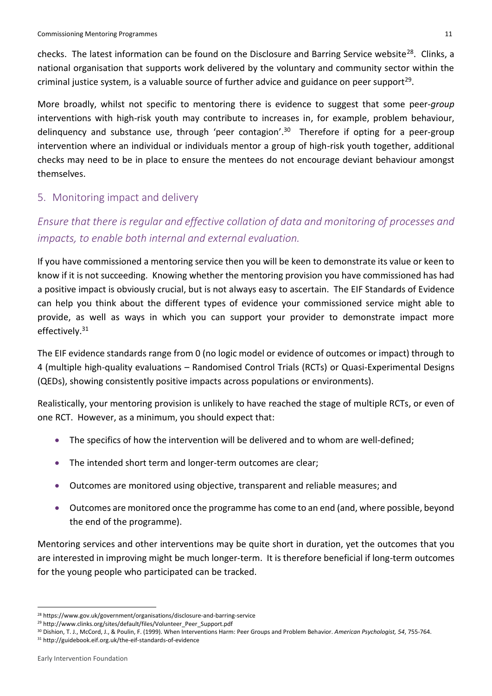checks. The latest information can be found on the Disclosure and Barring Service website<sup>28</sup>. Clinks, a national organisation that supports work delivered by the voluntary and community sector within the criminal justice system, is a valuable source of further advice and guidance on peer support<sup>29</sup>.

More broadly, whilst not specific to mentoring there is evidence to suggest that some peer-*group* interventions with high-risk youth may contribute to increases in, for example, problem behaviour, delinquency and substance use, through 'peer contagion'.<sup>30</sup> Therefore if opting for a peer-group intervention where an individual or individuals mentor a group of high-risk youth together, additional checks may need to be in place to ensure the mentees do not encourage deviant behaviour amongst themselves.

## 5. Monitoring impact and delivery

## *Ensure that there is regular and effective collation of data and monitoring of processes and impacts, to enable both internal and external evaluation.*

If you have commissioned a mentoring service then you will be keen to demonstrate its value or keen to know if it is not succeeding. Knowing whether the mentoring provision you have commissioned has had a positive impact is obviously crucial, but is not always easy to ascertain. The EIF Standards of Evidence can help you think about the different types of evidence your commissioned service might able to provide, as well as ways in which you can support your provider to demonstrate impact more effectively.<sup>31</sup>

The EIF evidence standards range from 0 (no logic model or evidence of outcomes or impact) through to 4 (multiple high-quality evaluations – Randomised Control Trials (RCTs) or Quasi-Experimental Designs (QEDs), showing consistently positive impacts across populations or environments).

Realistically, your mentoring provision is unlikely to have reached the stage of multiple RCTs, or even of one RCT. However, as a minimum, you should expect that:

- The specifics of how the intervention will be delivered and to whom are well-defined;
- The intended short term and longer-term outcomes are clear;
- Outcomes are monitored using objective, transparent and reliable measures; and
- Outcomes are monitored once the programme has come to an end (and, where possible, beyond the end of the programme).

Mentoring services and other interventions may be quite short in duration, yet the outcomes that you are interested in improving might be much longer-term. It is therefore beneficial if long-term outcomes for the young people who participated can be tracked.

<sup>28</sup> <https://www.gov.uk/government/organisations/disclosure-and-barring-service>

<sup>29</sup> [http://www.clinks.org/sites/default/files/Volunteer\\_Peer\\_Support.pdf](http://www.clinks.org/sites/default/files/Volunteer_Peer_Support.pdf)

<sup>30</sup> Dishion, T. J., McCord, J., & Poulin, F. (1999). When Interventions Harm: Peer Groups and Problem Behavior. *American Psychologist, 54*, 755-764. <sup>31</sup> <http://guidebook.eif.org.uk/the-eif-standards-of-evidence>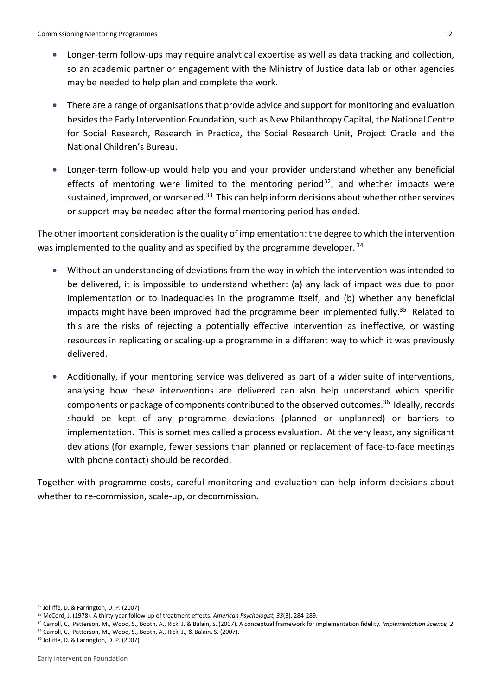- Longer-term follow-ups may require analytical expertise as well as data tracking and collection, so an academic partner or engagement with the Ministry of Justice data lab or other agencies may be needed to help plan and complete the work.
- There are a range of organisations that provide advice and support for monitoring and evaluation besides the Early Intervention Foundation, such as New Philanthropy Capital, the National Centre for Social Research, Research in Practice, the Social Research Unit, Project Oracle and the National Children's Bureau.
- Longer-term follow-up would help you and your provider understand whether any beneficial effects of mentoring were limited to the mentoring period<sup>32</sup>, and whether impacts were sustained, improved, or worsened.<sup>33</sup> This can help inform decisions about whether other services or support may be needed after the formal mentoring period has ended.

The other important consideration is the quality of implementation: the degree to which the intervention was implemented to the quality and as specified by the programme developer.<sup>34</sup>

- Without an understanding of deviations from the way in which the intervention was intended to be delivered, it is impossible to understand whether: (a) any lack of impact was due to poor implementation or to inadequacies in the programme itself, and (b) whether any beneficial impacts might have been improved had the programme been implemented fully.<sup>35</sup> Related to this are the risks of rejecting a potentially effective intervention as ineffective, or wasting resources in replicating or scaling-up a programme in a different way to which it was previously delivered.
- Additionally, if your mentoring service was delivered as part of a wider suite of interventions, analysing how these interventions are delivered can also help understand which specific components or package of components contributed to the observed outcomes.<sup>36</sup> Ideally, records should be kept of any programme deviations (planned or unplanned) or barriers to implementation. This is sometimes called a process evaluation. At the very least, any significant deviations (for example, fewer sessions than planned or replacement of face-to-face meetings with phone contact) should be recorded.

Together with programme costs, careful monitoring and evaluation can help inform decisions about whether to re-commission, scale-up, or decommission.

<sup>32</sup> Jolliffe, D. & Farrington, D. P. (2007)

<sup>33</sup> McCord, J. (1978). A thirty-year follow-up of treatment effects. *American Psychologist, 33*(3), 284-289.

<sup>34</sup> Carroll, C., Patterson, M., Wood, S., Booth, A., Rick, J. & Balain, S. (2007). A conceptual framework for implementation fidelity*. Implementation Science, 2* <sup>35</sup> Carroll, C., Patterson, M., Wood, S., Booth, A., Rick, J., & Balain, S. (2007).

<sup>36</sup> Jolliffe, D. & Farrington, D. P. (2007)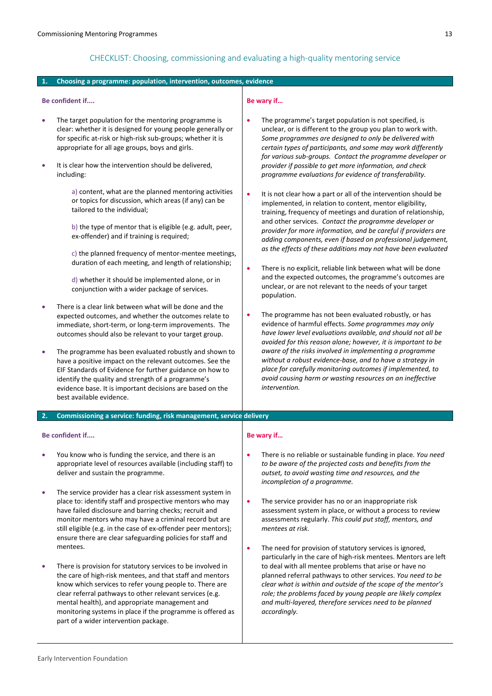#### CHECKLIST: Choosing, commissioning and evaluating a high-quality mentoring service

#### **1. Choosing a programme: population, intervention, outcomes, evidence**

**Be confident if....**

- The target population for the mentoring programme is clear: whether it is designed for young people generally or for specific at-risk or high-risk sub-groups; whether it is appropriate for all age groups, boys and girls.
- It is clear how the intervention should be delivered, including:
	- a) content, what are the planned mentoring activities or topics for discussion, which areas (if any) can be tailored to the individual;
	- b) the type of mentor that is eligible (e.g. adult, peer, ex-offender) and if training is required;
	- c) the planned frequency of mentor-mentee meetings, duration of each meeting, and length of relationship;
	- d) whether it should be implemented alone, or in conjunction with a wider package of services.
- There is a clear link between what will be done and the expected outcomes, and whether the outcomes relate to immediate, short-term, or long-term improvements. The outcomes should also be relevant to your target group.
- The programme has been evaluated robustly and shown to have a positive impact on the relevant outcomes. Se[e the](http://guidebook.eif.org.uk/the-eif-standards-of-evidence)  [EIF Standards of Evidence](http://guidebook.eif.org.uk/the-eif-standards-of-evidence) for further guidance on how to identify the quality and strength of a programme's evidence base. It is important decisions are based on the best available evidence.

#### **Be wary if…**

- The programme's target population is not specified, is unclear, or is different to the group you plan to work with. *Some programmes are designed to only be delivered with certain types of participants, and some may work differently for various sub-groups. Contact the programme developer or provider if possible to get more information, and check programme evaluations for evidence of transferability.*
- It is not clear how a part or all of the intervention should be implemented, in relation to content, mentor eligibility, training, frequency of meetings and duration of relationship, and other services. *Contact the programme developer or provider for more information, and be careful if providers are adding components, even if based on professional judgement, as the effects of these additions may not have been evaluated*
- There is no explicit, reliable link between what will be done and the expected outcomes, the programme's outcomes are unclear, or are not relevant to the needs of your target population.
- The programme has not been evaluated robustly, or has evidence of harmful effects. *Some programmes may only have lower level evaluations available, and should not all be avoided for this reason alone; however, it is important to be aware of the risks involved in implementing a programme without a robust evidence-base, and to have a strategy in place for carefully monitoring outcomes if implemented, to avoid causing harm or wasting resources on an ineffective intervention.*

#### **2. Commissioning a service: funding, risk management, service delivery**

#### **Be confident if....**

- You know who is funding the service, and there is an appropriate level of resources available (including staff) to deliver and sustain the programme.
- The service provider has a clear risk assessment system in place to: identify staff and prospective mentors who may have failed disclosure and barring checks; recruit and monitor mentors who may have a criminal record but are still eligible (e.g. in the case of ex-offender peer mentors); ensure there are clear safeguarding policies for staff and mentees.
- There is provision for statutory services to be involved in the care of high-risk mentees, and that staff and mentors know which services to refer young people to. There are clear referral pathways to other relevant services (e.g. mental health), and appropriate management and monitoring systems in place if the programme is offered as part of a wider intervention package.

#### **Be wary if…**

- There is no reliable or sustainable funding in place. *You need to be aware of the projected costs and benefits from the outset, to avoid wasting time and resources, and the incompletion of a programme.*
- The service provider has no or an inappropriate risk assessment system in place, or without a process to review assessments regularly. *This could put staff, mentors, and mentees at risk.*
- The need for provision of statutory services is ignored, particularly in the care of high-risk mentees. Mentors are left to deal with all mentee problems that arise or have no planned referral pathways to other services. *You need to be clear what is within and outside of the scope of the mentor's role; the problems faced by young people are likely complex and multi-layered, therefore services need to be planned accordingly.*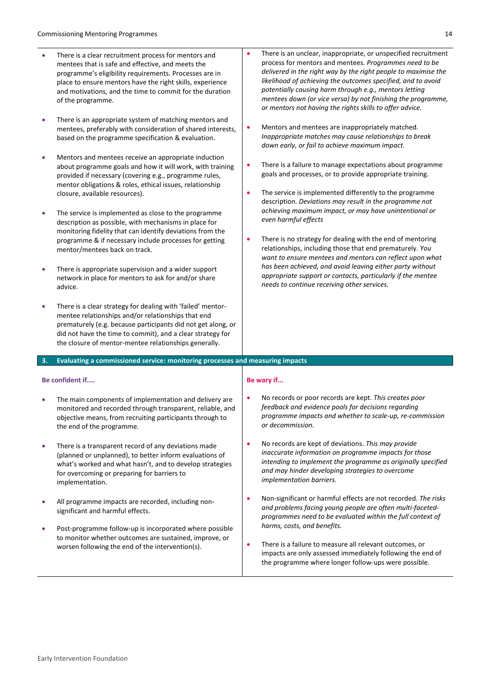- There is a clear recruitment process for mentors and mentees that is safe and effective, and meets the programme's eligibility requirements. Processes are in place to ensure mentors have the right skills, experience and motivations, and the time to commit for the duration of the programme.
- There is an appropriate system of matching mentors and mentees, preferably with consideration of shared interests, based on the programme specification & evaluation.
- Mentors and mentees receive an appropriate induction about programme goals and how it will work, with training provided if necessary (covering e.g., programme rules, mentor obligations & roles, ethical issues, relationship closure, available resources).
- The service is implemented as close to the programme description as possible, with mechanisms in place for monitoring fidelity that can identify deviations from the programme & if necessary include processes for getting mentor/mentees back on track.
- There is appropriate supervision and a wider support network in place for mentors to ask for and/or share advice.
- There is a clear strategy for dealing with 'failed' mentormentee relationships and/or relationships that end prematurely (e.g. because participants did not get along, or did not have the time to commit), and a clear strategy for the closure of mentor-mentee relationships generally.
- There is an unclear, inappropriate, or unspecified recruitment process for mentors and mentees. *Programmes need to be delivered in the right way by the right people to maximise the likelihood of achieving the outcomes specified, and to avoid potentially causing harm through e.g., mentors letting mentees down (or vice versa) by not finishing the programme, or mentors not having the rights skills to offer advice.*
- Mentors and mentees are inappropriately matched. *Inappropriate matches may cause relationships to break down early, or fail to achieve maximum impact.*
- There is a failure to manage expectations about programme goals and processes, or to provide appropriate training.
- The service is implemented differently to the programme description. *Deviations may result in the programme not achieving maximum impact, or may have unintentional or even harmful effects*
- There is no strategy for dealing with the end of mentoring relationships, including those that end prematurely. *You want to ensure mentees and mentors can reflect upon what has been achieved, and avoid leaving either party without appropriate support or contacts, particularly if the mentee needs to continue receiving other services.*

#### **3. Evaluating a commissioned service: monitoring processes and measuring impacts**

#### **Be confident if....**

- The main components of implementation and delivery are monitored and recorded through transparent, reliable, and objective means, from recruiting participants through to the end of the programme.
- There is a transparent record of any deviations made (planned or unplanned), to better inform evaluations of what's worked and what hasn't, and to develop strategies for overcoming or preparing for barriers to implementation.
- All programme impacts are recorded, including nonsignificant and harmful effects.
- Post-programme follow-up is incorporated where possible to monitor whether outcomes are sustained, improve, or worsen following the end of the intervention(s).

#### **Be wary if...**

- No records or poor records are kept. *This creates poor feedback and evidence pools for decisions regarding programme impacts and whether to scale-up, re-commission or decommission.*
- No records are kept of deviations. *This may provide inaccurate information on programme impacts for those intending to implement the programme as originally specified and may hinder developing strategies to overcome implementation barriers.*
- Non-significant or harmful effects are not recorded. *The risks and problems facing young people are often multi-facetedprogrammes need to be evaluated within the full context of harms, costs, and benefits.*
- There is a failure to measure all relevant outcomes, or impacts are only assessed immediately following the end of the programme where longer follow-ups were possible.